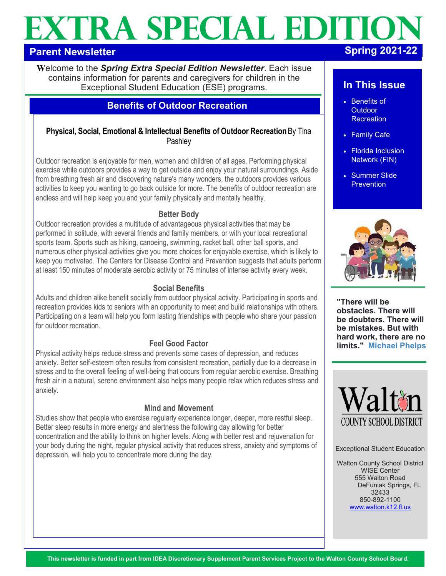# **EXTRA SPECIAL EDITION**

# **Parent Newsletter**

**W**elcome to the *Spring Extra Special Edition Newsletter*. Each issue contains information for parents and caregivers for children in the Exceptional Student Education (ESE) programs.

# **Benefits of Outdoor Recreation**

# **Physical, Social, Emotional & Intellectual Benefits of Outdoor Recreation** By Tina **Pashlev**

Outdoor recreation is enjoyable for men, women and children of all ages. Performing physical exercise while outdoors provides a way to get outside and enjoy your natural surroundings. Aside from breathing fresh air and discovering nature's many wonders, the outdoors provides various activities to keep you wanting to go back outside for more. The benefits of outdoor recreation are endless and will help keep you and your family physically and mentally healthy.

#### **Better Body**

Outdoor recreation provides a multitude of advantageous physical activities that may be performed in solitude, with several friends and family members, or with your local recreational sports team. Sports such as hiking, canoeing, swimming, racket ball, other ball sports, and numerous other physical activities give you more choices for enjoyable exercise, which is likely to keep you motivated. The Centers for Disease Control and Prevention suggests that adults perform at least 150 minutes of moderate aerobic activity or 75 minutes of intense activity every week.

## **Social Benefits**

Adults and children alike benefit socially from outdoor physical activity. Participating in sports and recreation provides kids to seniors with an opportunity to meet and build relationships with others. Participating on a team will help you form lasting friendships with people who share your passion for outdoor recreation.

# **Feel Good Factor**

Physical activity helps reduce stress and prevents some cases of depression, and reduces anxiety. Better self-esteem often results from consistent recreation, partially due to a decrease in stress and to the overall feeling of well-being that occurs from regular aerobic exercise. Breathing fresh air in a natural, serene environment also helps many people relax which reduces stress and anxiety.

# **Mind and Movement**

Studies show that people who exercise regularly experience longer, deeper, more restful sleep. Better sleep results in more energy and alertness the following day allowing for better concentration and the ability to think on higher levels. Along with better rest and rejuvenation for your body during the night, regular physical activity that reduces stress, anxiety and symptoms of depression, will help you to concentrate more during the day.

# **In This Issue**

- Benefits of Outdoor **Recreation**
- Family Cafe
- Florida Inclusion Network (FIN)
- Summer Slide **Prevention**



**"There will be obstacles. There will be doubters. There will be mistakes. But with hard work, there are no limits." Michael Phelps**



Exceptional Student Education

Walton County School District WISE Center 555 Walton Road DeFuniak Springs, FL 32433 850-892-1100 [www.walton.k12.fl.us](http://www.walton.k12.fl.us)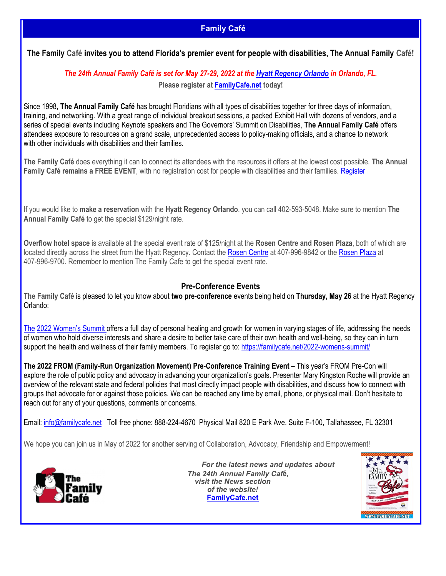# **Family Café**

<span id="page-1-0"></span>**The Family Café invites you to attend Florida's premier event for people with disabilities, The Annual Family Café!**

# *The 24th Annual Family Café is set for May 27-29, 2022 at the [Hyatt Regency Orlando](http://orlando.regency.hyatt.com/en/hotel/home.html) in Orlando, FL.*  **Please register at [FamilyCafe.net](https://famiycafe.net/) today!**

Since 1998, **The Annual Family Café** has brought Floridians with all types of disabilities together for three days of information, training, and networking. With a great range of individual breakout sessions, a packed Exhibit Hall with dozens of vendors, and a series of special events including Keynote speakers and The Governors' Summit on Disabilities, **The Annual Family Café** offers attendees exposure to resources on a grand scale, unprecedented access to policy-making officials, and a chance to network with other individuals with disabilities and their families.

**The Family Café** does everything it can to connect its attendees with the resources it offers at the lowest cost possible. **The Annual**  Family Café remains a FREE EVENT, with no registration cost for people with disabilities and their families. [Register](https://familycafe.net/register_for_event_form/)

If you would like to **make a reservation** with the **Hyatt Regency Orlando**, you can call 402-593-5048. Make sure to mention **The Annual Family Café** to get the special \$129/night rate.

**Overflow hotel space** is available at the special event rate of \$125/night at the **Rosen Centre and Rosen Plaza**, both of which are located directly across the street from the Hyatt Regency. Contact the [Rosen Centre](https://www.rosencentre.com/) at 407-996-9842 or the [Rosen Plaza](https://www.rosenplaza.com/) at 407-996-9700. Remember to mention The Family Cafe to get the special event rate.

## **Pre-Conference Events**

**The Family Café** is pleased to let you know about **two pre-conference** events being held on **Thursday, May 26** at the Hyatt Regency Orlando:

The [2022 Women's Summit](https://familycafe.net/2022-womens-summit/) offers a full day of personal healing and growth for women in varying stages of life, addressing the needs of women who hold diverse interests and share a desire to better take care of their own health and well-being, so they can in turn support the health and wellness of their family members. To register go to: [https://familycafe.net/2022-womens-summit/](#page-1-0)

**The 2022 FROM (Family-Run Organization Movement) Pre-Conference Training Event** – This year's FROM Pre-Con will explore the role of public policy and advocacy in advancing your organization's goals. Presenter Mary Kingston Roche will provide an overview of the relevant state and federal policies that most directly impact people with disabilities, and discuss how to connect with groups that advocate for or against those policies. We can be reached any time by email, phone, or physical mail. Don't hesitate to reach out for any of your questions, comments or concerns.

Email: [info@familycafe.net](mailto:info@familycafe.net) Toll free phone: 888-224-4670 Physical Mail 820 E Park Ave. Suite F-100, Tallahassee, FL 32301

We hope you can join us in May of 2022 for another serving of Collaboration, Advocacy, Friendship and Empowerment!



 *For the latest news and updates about The 24th Annual Family Caf***é***, visit the News section of the website!* **[FamilyCafe.net](https://famiycafe.net/)** 

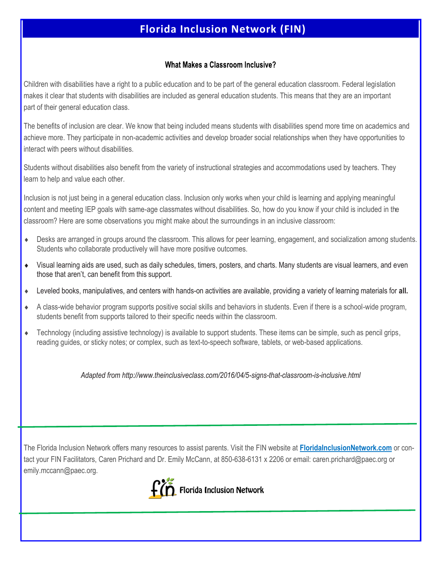# **Florida Inclusion Network (FIN)**

#### What Makes a Classroom Inclusive?

Children with disabilities have a right to a public education and to be part of the general education classroom. Federal legislation makes it clear that students with disabilities are included as general education students. This means that they are an important part of their general education class.

The benefits of inclusion are clear. We know that being included means students with disabilities spend more time on academics and achieve more. They participate in non-academic activities and develop broader social relationships when they have opportunities to interact with peers without disabilities.

Students without disabilities also benefit from the variety of instructional strategies and accommodations used by teachers. They learn to help and value each other.

Inclusion is not just being in a general education class. Inclusion only works when your child is learning and applying meaningful content and meeting IEP goals with same-age classmates without disabilities. So, how do you know if your child is included in the classroom? Here are some observations you might make about the surroundings in an inclusive classroom:

- Desks are arranged in groups around the classroom. This allows for peer learning, engagement, and socialization among students. Students who collaborate productively will have more positive outcomes.
- Visual learning aids are used, such as daily schedules, timers, posters, and charts. Many students are visual learners, and even those that aren't, can benefit from this support.
- Leveled books, manipulatives, and centers with hands-on activities are available, providing a variety of learning materials for **all.**
- A class-wide behavior program supports positive social skills and behaviors in students. Even if there is a school-wide program, students benefit from supports tailored to their specific needs within the classroom.
- $\bullet$  Technology (including assistive technology) is available to support students. These items can be simple, such as pencil grips, reading guides, or sticky notes; or complex, such as text-to-speech software, tablets, or web-based applications.

*[Adapted from http://www.theinclusiveclass.com/2016/04/5-signs-that-classroom-is-inclusive.html](http://www.theinclusiveclass.com/2016/04/5-signs-that-classroom-is-inclusive.html)*

The Florida Inclusion Network offers many resources to assist parents. Visit the FIN website at **[FloridaInclusionNetwork.com](http://www.FloridainclusionNetwork.com)** or contact your FIN Facilitators, Caren Prichard and Dr. Emily McCann, at 850-638-6131 x 2206 or email: caren.prichard@paec.org or emily.mccann@paec.org.